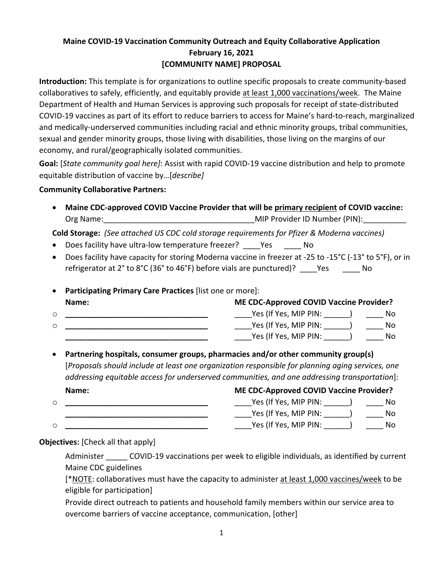# **Maine COVID-19 Vaccination Community Outreach and Equity Collaborative Application February 16, 2021 [COMMUNITY NAME] PROPOSAL**

**Introduction:** This template is for organizations to outline specific proposals to create community-based collaboratives to safely, efficiently, and equitably provide at least 1,000 vaccinations/week. The Maine Department of Health and Human Services is approving such proposals for receipt of state-distributed COVID-19 vaccines as part of its effort to reduce barriers to access for Maine's hard-to-reach, marginalized and medically-underserved communities including racial and ethnic minority groups, tribal communities, sexual and gender minority groups, those living with disabilities, those living on the margins of our economy, and rural/geographically isolated communities.

**Goal:** [*State community goal here]*: Assist with rapid COVID-19 vaccine distribution and help to promote equitable distribution of vaccine by…[*describe]*

## **Community Collaborative Partners:**

• **Maine CDC-approved COVID Vaccine Provider that will be primary recipient of COVID vaccine:** Org Name: etc. and the contract of the MIP Provider ID Number (PIN):

**Cold Storage:** *(See attached US CDC cold storage requirements for Pfizer & Moderna vaccines)*

- Does facility have ultra-low temperature freezer? \_\_\_\_ Yes \_\_\_\_\_ No
- Does facility have capacity for storing Moderna vaccine in freezer at -25 to -15°C (-13° to 5°F), or in refrigerator at 2° to 8°C (36° to 46°F) before vials are punctured)? \_\_\_\_Yes \_\_\_\_\_ No
- **Participating Primary Care Practices** [list one or more]: **Name: ME CDC-Approved COVID Vaccine Provider?**
- o **\_\_\_\_\_\_\_\_\_\_\_\_\_\_\_\_\_\_\_\_\_\_\_\_\_\_\_\_\_\_\_\_\_** \_\_\_\_Yes (If Yes, MIP PIN: \_\_\_\_\_\_) \_\_\_\_ No o **\_\_\_\_\_\_\_\_\_\_\_\_\_\_\_\_\_\_\_\_\_\_\_\_\_\_\_\_\_\_\_\_\_** \_\_\_\_Yes (If Yes, MIP PIN: \_\_\_\_\_\_) \_\_\_\_ No **\_\_\_\_\_\_\_\_\_\_\_\_\_\_\_\_\_\_\_\_\_\_\_\_\_\_\_\_\_\_\_\_\_** \_\_\_\_Yes (If Yes, MIP PIN: \_\_\_\_\_\_) \_\_\_\_ No
- **Partnering hospitals, consumer groups, pharmacies and/or other community group(s)**  [*Proposals should include at least one organization responsible for planning aging services, one addressing equitable access for underserved communities, and one addressing transportation*]: **Name: ME CDC-Approved COVID Vaccine Provider?**

| wanne. | <b>IVIL CDC-ApplOVEd COVID VACCINE I TOVIDEN:</b> |     |
|--------|---------------------------------------------------|-----|
|        | Yes (If Yes, MIP PIN:                             | No. |
|        | Yes (If Yes, MIP PIN:                             | No. |
|        | Yes (If Yes, MIP PIN:                             | NO. |

**Objectives:** [Check all that apply]

Administer \_\_\_\_\_\_ COVID-19 vaccinations per week to eligible individuals, as identified by current Maine CDC guidelines

[\*NOTE: collaboratives must have the capacity to administer at least 1,000 vaccines/week to be eligible for participation]

 Provide direct outreach to patients and household family members within our service area to overcome barriers of vaccine acceptance, communication, [other]